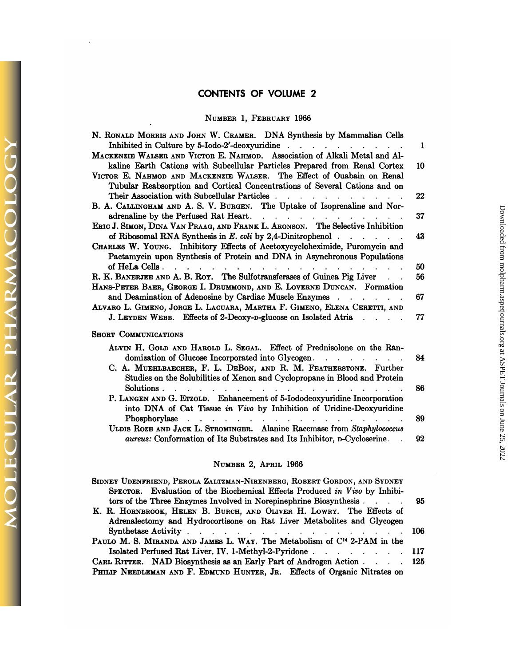# **CONTENTS OF VOLUME 2**

## NUMBER 1, FEBRUARY 1966

6

*OLECULAR PHARMACOLO* 

X

| UI 11 LI 11 U<br>NUMBER 1, FEBRUARY 1966                                                                                                                                                                                                                                                                                                                                                                                                                                                                  |              |
|-----------------------------------------------------------------------------------------------------------------------------------------------------------------------------------------------------------------------------------------------------------------------------------------------------------------------------------------------------------------------------------------------------------------------------------------------------------------------------------------------------------|--------------|
|                                                                                                                                                                                                                                                                                                                                                                                                                                                                                                           |              |
| N. RONALD MORRIS AND JOHN W. CRAMER. DNA Synthesis by Mammalian Cells<br>Inhibited in Culture by 5-Iodo-2'-deoxyuridine<br>MACKENZIE WALSER AND VICTOR E. NAHMOD. Association of Alkali Metal and Al-                                                                                                                                                                                                                                                                                                     | $\mathbf{1}$ |
| kaline Earth Cations with Subcellular Particles Prepared from Renal Cortex<br>VICTOR E. NAHMOD AND MACKENZIE WALSER. The Effect of Ouabain on Renal                                                                                                                                                                                                                                                                                                                                                       | 10           |
| Tubular Reabsorption and Cortical Concentrations of Several Cations and on<br>Their Association with Subcellular Particles                                                                                                                                                                                                                                                                                                                                                                                | 22           |
| B. A. CALLINGHAM AND A. S. V. BURGEN. The Uptake of Isoprenaline and Nor-<br>adrenaline by the Perfused Rat Heart.                                                                                                                                                                                                                                                                                                                                                                                        | 37           |
| ERIC J. SIMON, DINA VAN PRAAG, AND FRANK L. ARONSON. The Selective Inhibition<br>of Ribosomal RNA Synthesis in $E.$ coli by 2.4-Dinitrophenol $\cdots$                                                                                                                                                                                                                                                                                                                                                    | 43           |
| CHARLES W. YOUNG. Inhibitory Effects of Acetoxycycloheximide, Puromycin and<br>Pactamycin upon Synthesis of Protein and DNA in Asynchronous Populations                                                                                                                                                                                                                                                                                                                                                   |              |
|                                                                                                                                                                                                                                                                                                                                                                                                                                                                                                           | 50           |
| R. K. BANERJEE AND A. B. ROY. The Sulfotransferases of Guinea Pig Liver<br>HANS-PETER BAER, GEORGE I. DRUMMOND, AND E. LOVERNE DUNCAN. Formation                                                                                                                                                                                                                                                                                                                                                          | 56           |
| and Deamination of Adenosine by Cardiac Muscle Enzymes<br>Alvaro L. Gimeno, Jorge L. Lacuara, Martha F. Gimeno, Elena Ceretti, and                                                                                                                                                                                                                                                                                                                                                                        | 67           |
| J. LEYDEN WEBB. Effects of 2-Deoxy-D-glucose on Isolated Atria                                                                                                                                                                                                                                                                                                                                                                                                                                            | 77           |
| <b>SHORT COMMUNICATIONS</b>                                                                                                                                                                                                                                                                                                                                                                                                                                                                               |              |
| ALVIN H. GOLD AND HAROLD L. SEGAL. Effect of Prednisolone on the Ran-                                                                                                                                                                                                                                                                                                                                                                                                                                     |              |
| domization of Glucose Incorporated into Glycogen.<br>C. A. MUEHLBAECHER, F. L. DEBON, AND R. M. FEATHERSTONE. Further<br>Studies on the Solubilities of Xenon and Cyclopropane in Blood and Protein                                                                                                                                                                                                                                                                                                       | 84           |
| Solutions.<br>$\mathbf{L} = \mathbf{L} \times \mathbf{L}$<br>$\mathbf{r} = \mathbf{r} + \mathbf{r} + \mathbf{r} + \mathbf{r} + \mathbf{r} + \mathbf{r} + \mathbf{r} + \mathbf{r} + \mathbf{r} + \mathbf{r} + \mathbf{r} + \mathbf{r} + \mathbf{r} + \mathbf{r} + \mathbf{r} + \mathbf{r} + \mathbf{r} + \mathbf{r} + \mathbf{r} + \mathbf{r} + \mathbf{r} + \mathbf{r} + \mathbf{r} + \mathbf{r} + \mathbf{r} + \mathbf{r} + \mathbf{r} + \mathbf{r} + \mathbf{r} + \mathbf{r} + \mathbf$<br>$\mathbf{r}$ | 86           |
| P. LANGEN AND G. ETZOLD. Enhancement of 5-Iododeoxyuridine Incorporation<br>into DNA of Cat Tissue in Vivo by Inhibition of Uridine-Deoxyuridine                                                                                                                                                                                                                                                                                                                                                          |              |
| Phosphorylase<br>ULDIS ROZE AND JACK L. STROMINGER. Alanine Racemase from Staphylococcus                                                                                                                                                                                                                                                                                                                                                                                                                  | 89           |
| aureus: Conformation of Its Substrates and Its Inhibitor, p-Cycloserine.                                                                                                                                                                                                                                                                                                                                                                                                                                  | 92           |

#### NUMBER 2, APRIL 1966

| NUMBER 2, APRIL 1966                                                                                                                                                                                                |      |
|---------------------------------------------------------------------------------------------------------------------------------------------------------------------------------------------------------------------|------|
| SIDNEY UDENFRIEND, PEROLA ZALTZMAN-NIRENBERG, ROBERT GORDON, AND SYDNEY<br>SPECTOR. Evaluation of the Biochemical Effects Produced in Vivo by Inhibi-                                                               |      |
| tors of the Three Enzymes Involved in Norepinephrine Biosynthesis<br>K. R. HORNBROOK, HELEN B. BURCH, AND OLIVER H. LOWRY. The Effects of<br>Adrenalectomy and Hydrocortisone on Rat Liver Metabolites and Glycogen | -95  |
| PAULO M. S. MIRANDA AND JAMES L. WAY. The Metabolism of $C14$ 2-PAM in the                                                                                                                                          | -106 |
| Isolated Perfused Rat Liver. IV. 1-Methyl-2-Pyridone 117                                                                                                                                                            |      |
| CARL RITTER. NAD Biosynthesis as an Early Part of Androgen Action 125<br>PHILIP NEEDLEMAN AND F. EDMUND HUNTER, JR. Effects of Organic Nitrates on                                                                  |      |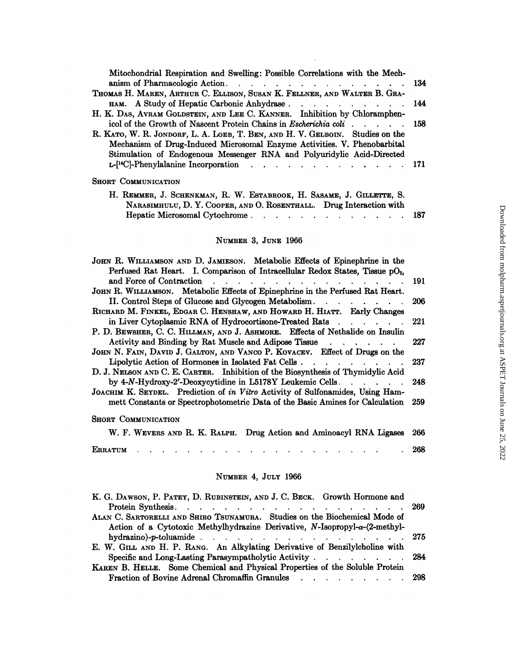| Mitochondrial Respiration and Swelling: Possible Correlations with the Mech-                                                                                 |       |
|--------------------------------------------------------------------------------------------------------------------------------------------------------------|-------|
|                                                                                                                                                              | - 134 |
| THOMAS H. MAREN, ARTHUR C. ELLISON, SUSAN K. FELLNER, AND WALTER B. GRA-                                                                                     |       |
| H. K. DAS, AVRAM GOLDSTEIN, AND LEE C. KANNER. Inhibition by Chloramphen-                                                                                    |       |
| icol of the Growth of Nascent Protein Chains in <i>Escherichia coli</i> 158<br>R. KATO, W. R. JONDORF, L. A. LOEB, T. BEN, AND H. V. GELBOIN. Studies on the |       |
| Mechanism of Drug-Induced Microsomal Enzyme Activities. V. Phenobarbital                                                                                     |       |
| Stimulation of Endogenous Messenger RNA and Polyuridylic Acid-Directed                                                                                       |       |
| $L-[^{14}C]-P$ henylalanine Incorporation                                                                                                                    | -171  |
| <b>SHORT COMMUNICATION</b>                                                                                                                                   |       |
| H. REMMER, J. SCHENKMAN, R. W. ESTABROOK, H. SASAME, J. GILLETTE, S.                                                                                         |       |
| NARASIMHULU, D. Y. COOPER, AND O. ROSENTHALL. Drug Interaction with<br>Hepatic Microsomal Cytochrome.                                                        | 187   |
|                                                                                                                                                              |       |

#### NUMBER 3, JUNE 1966

| NUMBER 3, JUNE 1966                                                                                                                                                                         |     |
|---------------------------------------------------------------------------------------------------------------------------------------------------------------------------------------------|-----|
| JOHN R. WILLIAMSON AND D. JAMIESON. Metabolic Effects of Epinephrine in the                                                                                                                 |     |
| Perfused Rat Heart. I. Comparison of Intracellular Redox States, Tissue pO <sub>2</sub> ,                                                                                                   | 191 |
| JOHN R. WILLIAMSON. Metabolic Effects of Epinephrine in the Perfused Rat Heart.<br>II. Control Steps of Glucose and Glycogen Metabolism.                                                    | 206 |
| RICHARD M. FINKEL, EDGAR C. HENSHAW, AND HOWARD H. HIATT. Early Changes<br>in Liver Cytoplasmic RNA of Hydrocortisone-Treated Rats                                                          | 221 |
| P. D. BEWSHER, C. C. HILLMAN, AND J. ASHMORE. Effects of Nethalide on Insulin                                                                                                               |     |
| Activity and Binding by Rat Muscle and Adipose Tissue<br>JOHN N. FAIN, DAVID J. GALTON, AND VANCO P. KOVACEV. Effect of Drugs on the                                                        | 227 |
| Lipolytic Action of Hormones in Isolated Fat Cells.<br>$\sim$ $\sim$ $\sim$ $\sim$ $\sim$ $\sim$ $\sim$<br>D. J. NELSON AND C. E. CARTER. Inhibition of the Biosynthesis of Thymidylic Acid | 237 |
| by 4-N-Hydroxy-2'-Deoxycytidine in L5178Y Leukemic Cells.                                                                                                                                   | 248 |
| JOACHIM K. SEYDEL. Prediction of in Vitro Activity of Sulfonamides, Using Ham-<br>mett Constants or Spectrophotometric Data of the Basic Amines for Calculation                             | 259 |
| <b>SHORT COMMUNICATION</b>                                                                                                                                                                  |     |
| W. F. WEVERS AND R. K. RALPH. Drug Action and Aminoacyl RNA Ligases                                                                                                                         | 266 |
| ERRATUM                                                                                                                                                                                     | 268 |

#### NUMBER 4, JULY 1966

| NUMBER 4, JULY 1966                                                                                                                                                                                  |     |
|------------------------------------------------------------------------------------------------------------------------------------------------------------------------------------------------------|-----|
| K. G. DAWSON, P. PATEY, D. RUBINSTEIN, AND J. C. BECK. Growth Hormone and<br>Protein Synthesis. 269<br>ALAN C. SARTORELLI AND SHIRO TSUNAMURA. Studies on the Biochemical Mode of                    |     |
| Action of a Cytotoxic Methylhydrazine Derivative, $N$ -Isopropyl- $\alpha$ -(2-methyl-<br>hydrazino)-p-toluamide. 275<br>E. W. GILL AND H. P. RANG. An Alkylating Derivative of Benzilylcholine with |     |
| Specific and Long-Lasting Parasympatholytic Activity 284<br>KAREN B. HELLE. Some Chemical and Physical Properties of the Soluble Protein                                                             |     |
| <b>Fraction of Bovine Adrenal Chromaffin Granules</b>                                                                                                                                                | 298 |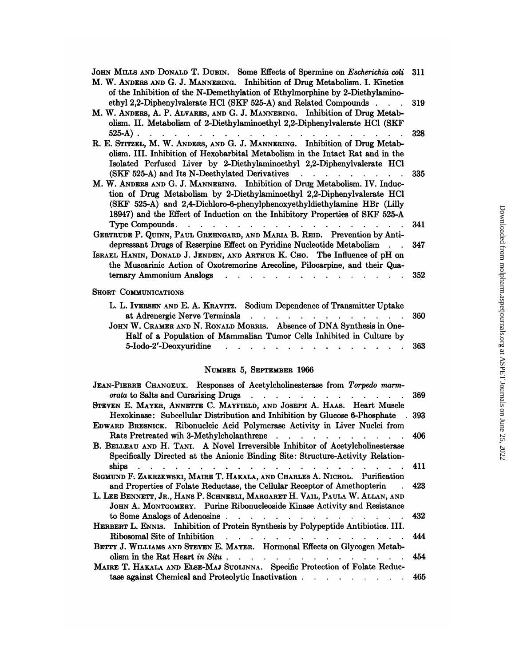| of the Inhibition of the N-Demethylation of Ethylmorphine by 2-Diethylamino-<br>ethyl 2,2-Diphenylvalerate HCl (SKF 525-A) and Related Compounds<br>olism. II. Metabolism of 2-Diethylaminoethyl 2,2-Diphenylvalerate HCl (SKF<br>$525-A$ .<br>a construction of the construction of the construction of the construction of the construction of the construction of the construction of the construction of the construction of the construction of the construction of the<br>olism. III. Inhibition of Hexobarbital Metabolism in the Intact Rat and in the<br>Isolated Perfused Liver by 2-Diethylaminoethyl 2,2-Diphenylvalerate HCl<br>(SKF 525-A) and Its N-Deethylated Derivatives<br>$\mathbf{r}$ , $\mathbf{r}$ , $\mathbf{r}$ , $\mathbf{r}$ , $\mathbf{r}$ , $\mathbf{r}$<br>tion of Drug Metabolism by 2-Diethylaminoethyl 2,2-Diphenylvalerate HCl<br>(SKF 525-A) and 2,4-Dichloro-6-phenylphenoxyethyldiethylamine HBr (Lilly<br>18947) and the Effect of Induction on the Inhibitory Properties of SKF 525-A<br>Type Compounds.<br>$\mathbf{r}$<br>depressant Drugs of Reserpine Effect on Pyridine Nucleotide Metabolism<br>the Muscarinic Action of Oxotremorine Arecoline, Pilocarpine, and their Qua- | 311<br>319<br>328<br>335<br>341<br>347<br>352<br>360<br>$\mathbf{r}$ and $\mathbf{r}$ and $\mathbf{r}$ and $\mathbf{r}$<br>Half of a Population of Mammalian Tumor Cells Inhibited in Culture by<br>363 |                          |  |
|---------------------------------------------------------------------------------------------------------------------------------------------------------------------------------------------------------------------------------------------------------------------------------------------------------------------------------------------------------------------------------------------------------------------------------------------------------------------------------------------------------------------------------------------------------------------------------------------------------------------------------------------------------------------------------------------------------------------------------------------------------------------------------------------------------------------------------------------------------------------------------------------------------------------------------------------------------------------------------------------------------------------------------------------------------------------------------------------------------------------------------------------------------------------------------------------------------------------------|---------------------------------------------------------------------------------------------------------------------------------------------------------------------------------------------------------|--------------------------|--|
| JOHN MILLS AND DONALD T. DUBIN. Some Effects of Spermine on Escherichia coli                                                                                                                                                                                                                                                                                                                                                                                                                                                                                                                                                                                                                                                                                                                                                                                                                                                                                                                                                                                                                                                                                                                                              |                                                                                                                                                                                                         |                          |  |
| M. W. ANDERS AND G. J. MANNERING. Inhibition of Drug Metabolism. I. Kinetics<br>M. W. ANDERS, A. P. ALVARES, AND G. J. MANNERING. Inhibition of Drug Metab-<br>R. E. STITZEL, M. W. ANDERS, AND G. J. MANNERING. Inhibition of Drug Metab-                                                                                                                                                                                                                                                                                                                                                                                                                                                                                                                                                                                                                                                                                                                                                                                                                                                                                                                                                                                |                                                                                                                                                                                                         |                          |  |
|                                                                                                                                                                                                                                                                                                                                                                                                                                                                                                                                                                                                                                                                                                                                                                                                                                                                                                                                                                                                                                                                                                                                                                                                                           |                                                                                                                                                                                                         |                          |  |
|                                                                                                                                                                                                                                                                                                                                                                                                                                                                                                                                                                                                                                                                                                                                                                                                                                                                                                                                                                                                                                                                                                                                                                                                                           |                                                                                                                                                                                                         |                          |  |
|                                                                                                                                                                                                                                                                                                                                                                                                                                                                                                                                                                                                                                                                                                                                                                                                                                                                                                                                                                                                                                                                                                                                                                                                                           |                                                                                                                                                                                                         |                          |  |
| M. W. ANDERS AND G. J. MANNERING. Inhibition of Drug Metabolism. IV. Induc-<br>GERTRUDE P. QUINN, PAUL GREENGARD, AND MARIA B. REID. Prevention by Anti-<br>ISRAEL HANIN, DONALD J. JENDEN, AND ARTHUR K. CHO. The Influence of pH on                                                                                                                                                                                                                                                                                                                                                                                                                                                                                                                                                                                                                                                                                                                                                                                                                                                                                                                                                                                     |                                                                                                                                                                                                         |                          |  |
|                                                                                                                                                                                                                                                                                                                                                                                                                                                                                                                                                                                                                                                                                                                                                                                                                                                                                                                                                                                                                                                                                                                                                                                                                           |                                                                                                                                                                                                         |                          |  |
|                                                                                                                                                                                                                                                                                                                                                                                                                                                                                                                                                                                                                                                                                                                                                                                                                                                                                                                                                                                                                                                                                                                                                                                                                           |                                                                                                                                                                                                         |                          |  |
|                                                                                                                                                                                                                                                                                                                                                                                                                                                                                                                                                                                                                                                                                                                                                                                                                                                                                                                                                                                                                                                                                                                                                                                                                           |                                                                                                                                                                                                         |                          |  |
|                                                                                                                                                                                                                                                                                                                                                                                                                                                                                                                                                                                                                                                                                                                                                                                                                                                                                                                                                                                                                                                                                                                                                                                                                           |                                                                                                                                                                                                         |                          |  |
|                                                                                                                                                                                                                                                                                                                                                                                                                                                                                                                                                                                                                                                                                                                                                                                                                                                                                                                                                                                                                                                                                                                                                                                                                           |                                                                                                                                                                                                         |                          |  |
|                                                                                                                                                                                                                                                                                                                                                                                                                                                                                                                                                                                                                                                                                                                                                                                                                                                                                                                                                                                                                                                                                                                                                                                                                           |                                                                                                                                                                                                         | ternary Ammonium Analogs |  |
| <b>SHORT COMMUNICATIONS</b>                                                                                                                                                                                                                                                                                                                                                                                                                                                                                                                                                                                                                                                                                                                                                                                                                                                                                                                                                                                                                                                                                                                                                                                               |                                                                                                                                                                                                         |                          |  |
| L. L. IVERSEN AND E. A. KRAVITZ. Sodium Dependence of Transmitter Uptake                                                                                                                                                                                                                                                                                                                                                                                                                                                                                                                                                                                                                                                                                                                                                                                                                                                                                                                                                                                                                                                                                                                                                  |                                                                                                                                                                                                         |                          |  |
| at Adrenergic Nerve Terminals<br>JOHN W. CRAMER AND N. RONALD MORRIS. Absence of DNA Synthesis in One-                                                                                                                                                                                                                                                                                                                                                                                                                                                                                                                                                                                                                                                                                                                                                                                                                                                                                                                                                                                                                                                                                                                    |                                                                                                                                                                                                         |                          |  |
| 5-Iodo-2'-Deoxyuridine                                                                                                                                                                                                                                                                                                                                                                                                                                                                                                                                                                                                                                                                                                                                                                                                                                                                                                                                                                                                                                                                                                                                                                                                    |                                                                                                                                                                                                         |                          |  |

#### NUMBER 5, SEPTEMBER 1966

| 5-10d0-2'-Deoxyuridine                                                                                                                                                                                                                       | 363 |
|----------------------------------------------------------------------------------------------------------------------------------------------------------------------------------------------------------------------------------------------|-----|
| NUMBER 5, SEPTEMBER 1966                                                                                                                                                                                                                     |     |
| JEAN-PIERRE CHANGEUX. Responses of Acetylcholinesterase from Torpedo marm-<br>orata to Salts and Curarizing Drugs                                                                                                                            | 369 |
| STEVEN E. MATER, ANNETTE C. MATFIELD, AND JOSEPH A. HAAS. Heart Muscle<br>Hexokinase: Subcellular Distribution and Inhibition by Glucose 6-Phosphate<br>$\sim$<br>EDWARD BRESNICK. Ribonucleic Acid Polymerase Activity in Liver Nuclei from | 393 |
| Rats Pretreated win 3-Methylcholanthrene<br>B. BELLEAU AND H. TANI. A Novel Irreversible Inhibitor of Acetylcholinesterase                                                                                                                   | 406 |
| Specifically Directed at the Anionic Binding Site: Structure-Activity Relation-<br>ships<br>$\mathbf{r} = \mathbf{r} + \mathbf{r}$<br>SIGMUND F. ZAKRZEWSKI, MAIRE T. HAKALA, AND CHARLES A. NICHOL. Purification                            | 411 |
| and Properties of Folate Reductase, the Cellular Receptor of Amethopterin<br>L. LEE BENNETT, JR., HANS P. SCHNEBLI, MARGARET H. VAIL, PAULA W. ALLAN, AND<br>JOHN A. MONTGOMERY. Purine Ribonucleoside Kinase Activity and Resistance        | 423 |
| to Some Analogs of Adenosine<br>HERBERT L. ENNIS. Inhibition of Protein Synthesis by Polypeptide Antibiotics. III.                                                                                                                           | 432 |
| Ribosomal Site of Inhibition<br>$\mathbf{r}$ , and $\mathbf{r}$ , and $\mathbf{r}$ , and $\mathbf{r}$ , and $\mathbf{r}$<br>BETTY J. WILLIAMS AND STEVEN E. MAYER. Hormonal Effects on Glycogen Metab-                                       | 444 |
| olism in the Rat Heart in Situ.<br>MAIRE T. HAKALA AND ELSE-MAJ SUOLINNA. Specific Protection of Folate Reduc-                                                                                                                               | 454 |
| tase against Chemical and Proteolytic Inactivation.                                                                                                                                                                                          | 465 |